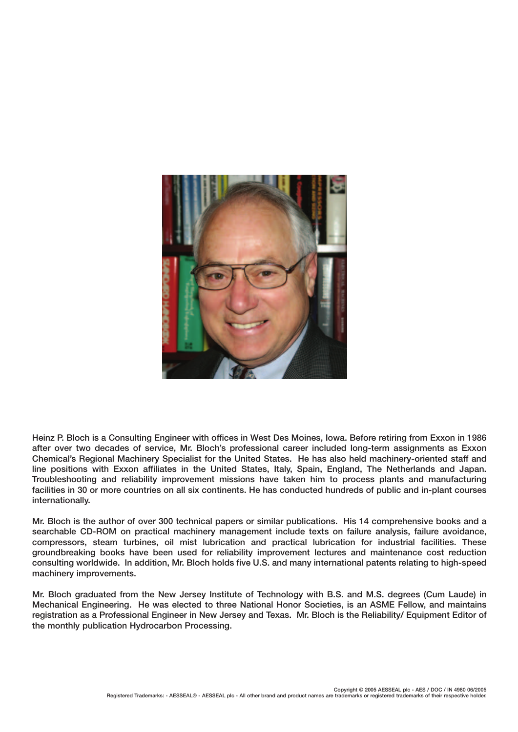

**Heinz P. Bloch is a Consulting Engineer with offices in West Des Moines, Iowa. Before retiring from Exxon in 1986 after over two decades of service, Mr. Bloch's professional career included long-term assignments as Exxon Chemical's Regional Machinery Specialist for the United States. He has also held machinery-oriented staff and line positions with Exxon affiliates in the United States, Italy, Spain, England, The Netherlands and Japan. Troubleshooting and reliability improvement missions have taken him to process plants and manufacturing facilities in 30 or more countries on all six continents. He has conducted hundreds of public and in-plant courses internationally.**

**Mr. Bloch is the author of over 300 technical papers or similar publications. His 14 comprehensive books and a searchable CD-ROM on practical machinery management include texts on failure analysis, failure avoidance, compressors, steam turbines, oil mist lubrication and practical lubrication for industrial facilities. These groundbreaking books have been used for reliability improvement lectures and maintenance cost reduction consulting worldwide. In addition, Mr. Bloch holds five U.S. and many international patents relating to high-speed machinery improvements.**

**Mr. Bloch graduated from the New Jersey Institute of Technology with B.S. and M.S. degrees (Cum Laude) in Mechanical Engineering. He was elected to three National Honor Societies, is an ASME Fellow, and maintains registration as a Professional Engineer in New Jersey and Texas. Mr. Bloch is the Reliability/ Equipment Editor of the monthly publication Hydrocarbon Processing.**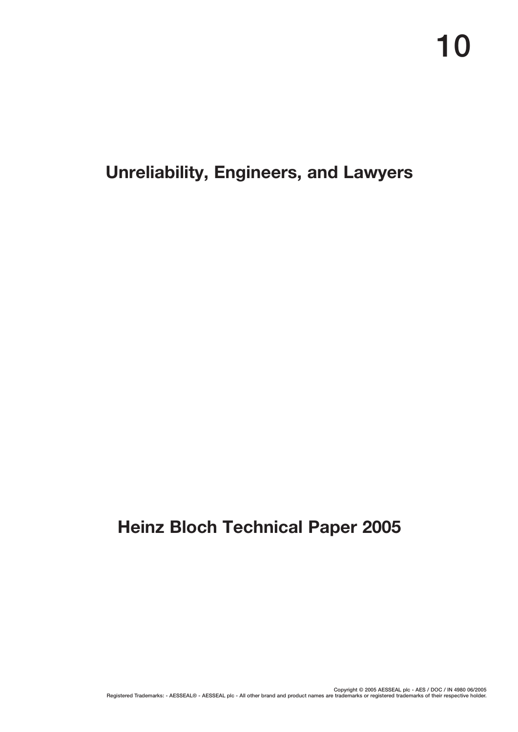# **Unreliability, Engineers, and Lawyers**

# **Heinz Bloch Technical Paper 2005**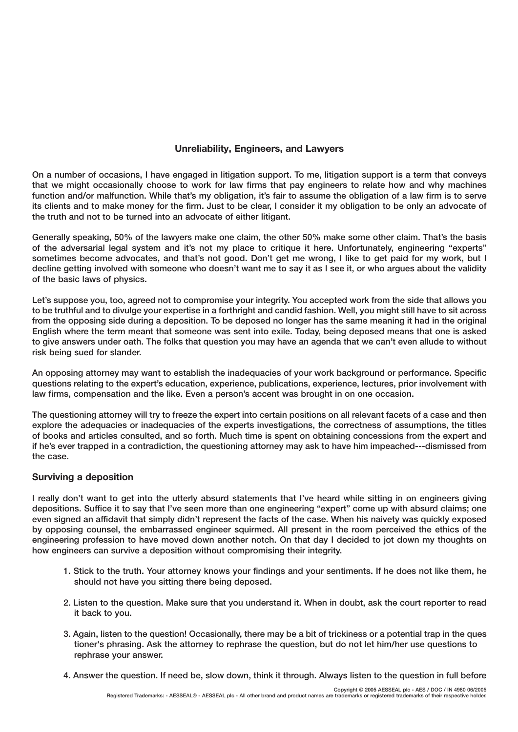## **Unreliability, Engineers, and Lawyers**

**On a number of occasions, I have engaged in litigation support. To me, litigation support is a term that conveys that we might occasionally choose to work for law firms that pay engineers to relate how and why machines function and/or malfunction. While that's my obligation, it's fair to assume the obligation of a law firm is to serve its clients and to make money for the firm. Just to be clear, I consider it my obligation to be only an advocate of the truth and not to be turned into an advocate of either litigant.** 

**Generally speaking, 50% of the lawyers make one claim, the other 50% make some other claim. That's the basis of the adversarial legal system and it's not my place to critique it here. Unfortunately, engineering "experts" sometimes become advocates, and that's not good. Don't get me wrong, I like to get paid for my work, but I decline getting involved with someone who doesn't want me to say it as I see it, or who argues about the validity of the basic laws of physics.** 

**Let's suppose you, too, agreed not to compromise your integrity. You accepted work from the side that allows you to be truthful and to divulge your expertise in a forthright and candid fashion. Well, you might still have to sit across from the opposing side during a deposition. To be deposed no longer has the same meaning it had in the original English where the term meant that someone was sent into exile. Today, being deposed means that one is asked to give answers under oath. The folks that question you may have an agenda that we can't even allude to without risk being sued for slander.** 

**An opposing attorney may want to establish the inadequacies of your work background or performance. Specific questions relating to the expert's education, experience, publications, experience, lectures, prior involvement with law firms, compensation and the like. Even a person's accent was brought in on one occasion.**

**The questioning attorney will try to freeze the expert into certain positions on all relevant facets of a case and then explore the adequacies or inadequacies of the experts investigations, the correctness of assumptions, the titles of books and articles consulted, and so forth. Much time is spent on obtaining concessions from the expert and if he's ever trapped in a contradiction, the questioning attorney may ask to have him impeached---dismissed from the case.**

### **Surviving a deposition**

**I really don't want to get into the utterly absurd statements that I've heard while sitting in on engineers giving depositions. Suffice it to say that I've seen more than one engineering "expert" come up with absurd claims; one even signed an affidavit that simply didn't represent the facts of the case. When his naivety was quickly exposed by opposing counsel, the embarrassed engineer squirmed. All present in the room perceived the ethics of the engineering profession to have moved down another notch. On that day I decided to jot down my thoughts on how engineers can survive a deposition without compromising their integrity.**

- **1. Stick to the truth. Your attorney knows your findings and your sentiments. If he does not like them, he should not have you sitting there being deposed.**
- **2. Listen to the question. Make sure that you understand it. When in doubt, ask the court reporter to read it back to you.**
- **3. Again, listen to the question! Occasionally, there may be a bit of trickiness or a potential trap in the ques tioner's phrasing. Ask the attorney to rephrase the question, but do not let him/her use questions to rephrase your answer.**
- **4. Answer the question. If need be, slow down, think it through. Always listen to the question in full before**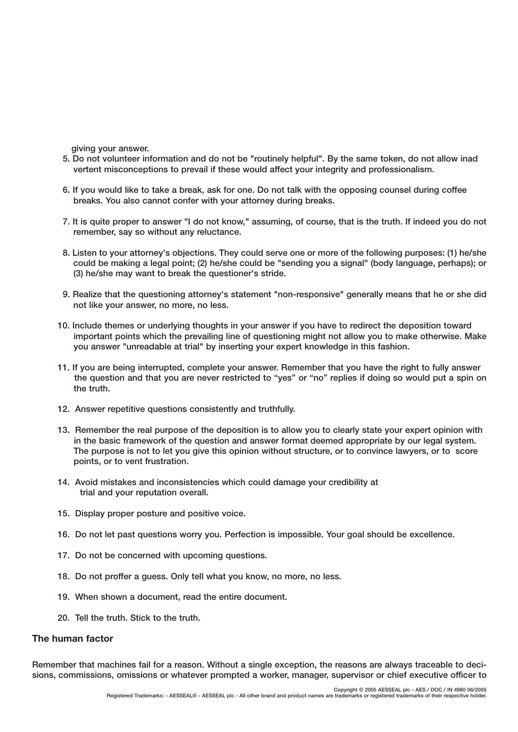**giving your answer.**

- **5. Do not volunteer information and do not be "routinely helpful". By the same token, do not allow inad vertent misconceptions to prevail if these would affect your integrity and professionalism.**
- **6. If you would like to take a break, ask for one. Do not talk with the opposing counsel during coffee breaks. You also cannot confer with your attorney during breaks.**
- **7. It is quite proper to answer "I do not know," assuming, of course, that is the truth. If indeed you do not remember, say so without any reluctance.**
- **8. Listen to your attorney's objections. They could serve one or more of the following purposes: (1) he/she could be making a legal point; (2) he/she could be "sending you a signal" (body language, perhaps); or (3) he/she may want to break the questioner's stride.**
- **9. Realize that the questioning attorney's statement "non-responsive" generally means that he or she did not like your answer, no more, no less.**
- **10. Include themes or underlying thoughts in your answer if you have to redirect the deposition toward important points which the prevailing line of questioning might not allow you to make otherwise. Make you answer "unreadable at trial" by inserting your expert knowledge in this fashion.**
- **11. If you are being interrupted, complete your answer. Remember that you have the right to fully answer the question and that you are never restricted to "yes" or "no" replies if doing so would put a spin on the truth.**
- **12. Answer repetitive questions consistently and truthfully.**
- **13. Remember the real purpose of the deposition is to allow you to clearly state your expert opinion with in the basic framework of the question and answer format deemed appropriate by our legal system. The purpose is not to let you give this opinion without structure, or to convince lawyers, or to score points, or to vent frustration.**
- **14. Avoid mistakes and inconsistencies which could damage your credibility at trial and your reputation overall.**
- **15. Display proper posture and positive voice.**
- **16. Do not let past questions worry you. Perfection is impossible. Your goal should be excellence.**
- **17. Do not be concerned with upcoming questions.**
- **18. Do not proffer a guess. Only tell what you know, no more, no less.**
- **19. When shown a document, read the entire document.**
- **20. Tell the truth. Stick to the truth.**

#### **The human factor**

**Remember that machines fail for a reason. Without a single exception, the reasons are always traceable to decisions, commissions, omissions or whatever prompted a worker, manager, supervisor or chief executive officer to**